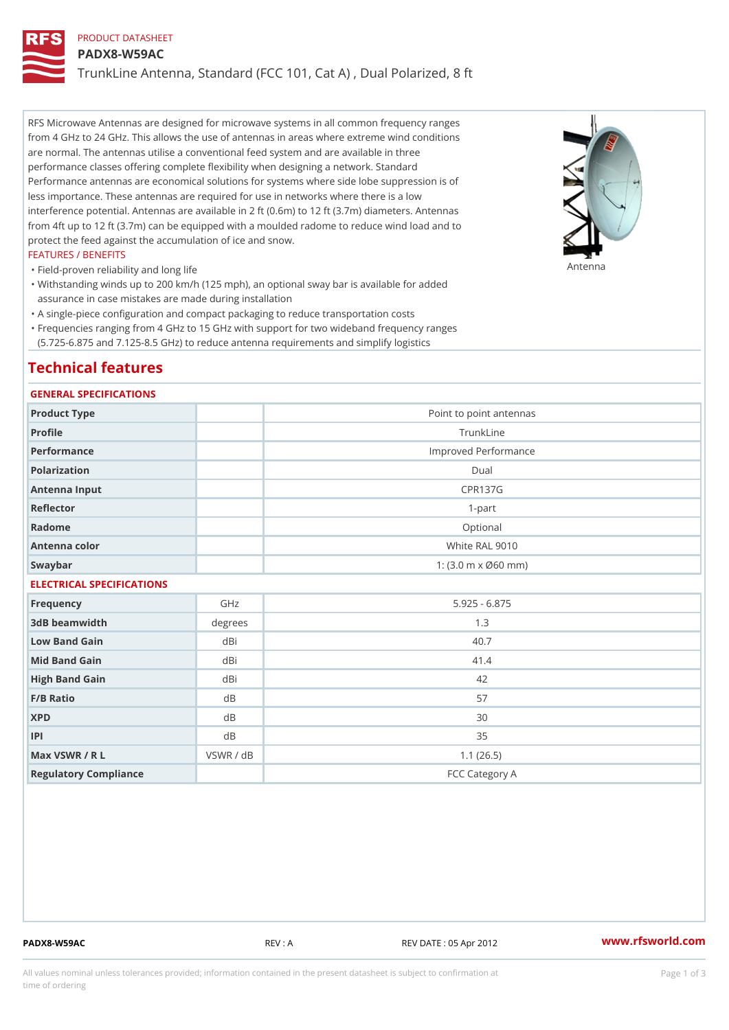# PRODUCT DATASHEET

#### PADX8-W59AC

TrunkLine Antenna, Standard (FCC 101, Cat A) , Dual Polarized, 8 ft

RFS Microwave Antennas are designed for microwave systems in all common frequency ranges from 4 GHz to 24 GHz. This allows the use of antennas in areas where extreme wind conditions are normal. The antennas utilise a conventional feed system and are available in three performance classes offering complete flexibility when designing a network. Standard Performance antennas are economical solutions for systems where side lobe suppression is of less importance. These antennas are required for use in networks where there is a low interference potential. Antennas are available in 2 ft (0.6m) to 12 ft (3.7m) diameters. Antennas from 4ft up to 12 ft (3.7m) can be equipped with a moulded radome to reduce wind load and to protect the feed against the accumulation of ice and snow.

## FEATURES / BENEFITS

"Field-proven reliability and long life

#### Antenna

Withstanding winds up to 200 km/h (125 mph), an optional sway bar is available for added " assurance in case mistakes are made during installation

"A single-piece configuration and compact packaging to reduce transportation costs

Frequencies ranging from 4 GHz to 15 GHz with support for two wideband frequency ranges " (5.725-6.875 and 7.125-8.5 GHz) to reduce antenna requirements and simplify logistics

## Technical features

## GENERAL SPECIFICATIONS

| Product Type              |           | Point to point antennas    |
|---------------------------|-----------|----------------------------|
| Profile                   |           | TrunkLine                  |
| Performance               |           | Improved Performance       |
| Polarization              |           | Dual                       |
| Antenna Input             |           | <b>CPR137G</b>             |
| Reflector                 |           | $1 - p$ art                |
| Radome                    |           | Optional                   |
| Antenna color             |           | White RAL 9010             |
| Swaybar                   |           | 1: $(3.0 m \times 060 mm)$ |
| ELECTRICAL SPECIFICATIONS |           |                            |
| Frequency                 | GHz       | $5.925 - 6.875$            |
| 3dB beamwidth             | degrees   | 1.3                        |
| Low Band Gain             | dBi       | 40.7                       |
| Mid Band Gain             | dBi       | 41.4                       |
| High Band Gain            | dBi       | 42                         |
| F/B Ratio                 | d B       | 57                         |
| <b>XPD</b>                | d B       | 30                         |
| P                         | d B       | 35                         |
| Max VSWR / R L            | VSWR / dB | 1.1(26.5)                  |
| Regulatory Compliance     |           | FCC Category A             |

PADX8-W59AC REV : A REV DATE : 05 Apr 2012 [www.](https://www.rfsworld.com)rfsworld.com

All values nominal unless tolerances provided; information contained in the present datasheet is subject to Pcapgeign mation time of ordering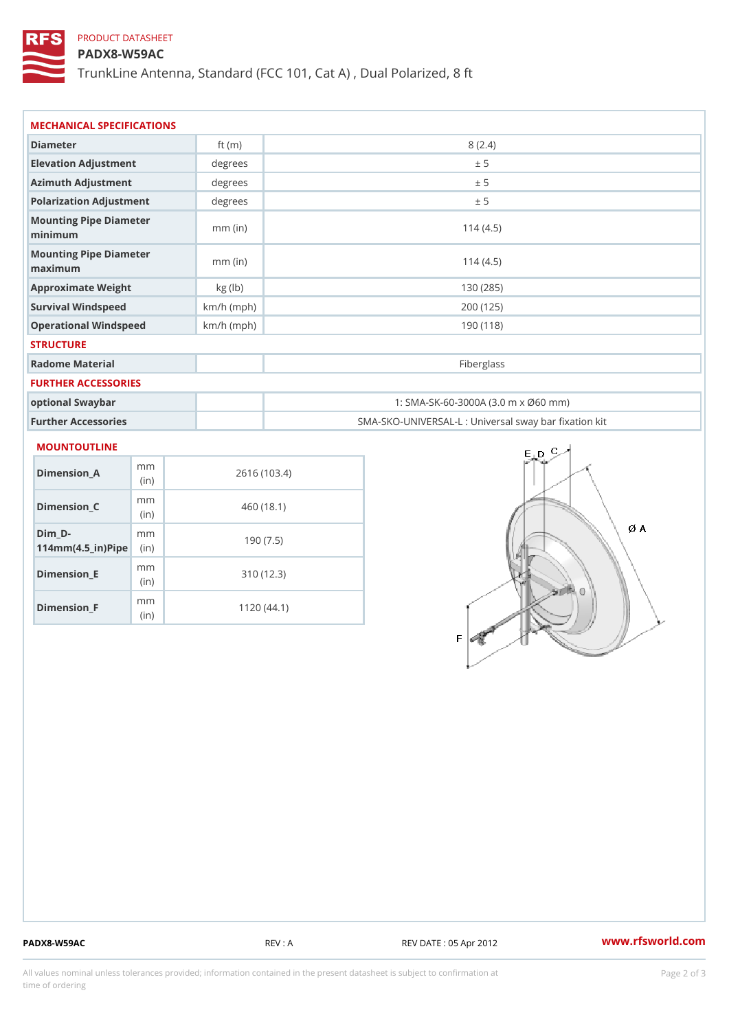# PRODUCT DATASHEET

## PADX8-W59AC

TrunkLine Antenna, Standard (FCC 101, Cat A) , Dual Polarized, 8 ft

| Diameter                                      | ft $(m)$     | 8(2.4)                                            |
|-----------------------------------------------|--------------|---------------------------------------------------|
| Elevation Adjustment                          | degrees      | ± 5                                               |
| Azimuth Adjustment                            | degrees      | ± 5                                               |
| Polarization Adjustment                       | degrees      | ± 5                                               |
| Mounting Pipe Diameter<br>minima              | $mm$ (in)    | 114(4.5)                                          |
| Mounting Pipe Diameter<br>$m$ a x i $m$ u $m$ | $mm$ (in)    | 114(4.5)                                          |
| Approximate Weight                            | kg(lb)       | 130 (285)                                         |
| Survival Windspeed                            | $km/h$ (mph) | 200 (125)                                         |
| Operational Windspeed                         | $km/h$ (mph) | 190 (118)                                         |
| <b>STRUCTURE</b>                              |              |                                                   |
| Radome Material                               |              | Fiberglass                                        |
| FURTHER ACCESSORIES                           |              |                                                   |
| optional Swaybar                              |              | 1: SMA-SK-60-3000A (3.0 m x Ø60 mm)               |
| Further Accessories                           |              | SMA-SKO-UNIVERSAL-L : Universal sway bar fixation |

| Dimension_A                                                 | m m<br>(i n)             | 2616 (103.4) |
|-------------------------------------------------------------|--------------------------|--------------|
| Dimension_C                                                 | m m<br>(i <sub>n</sub> ) | 460 (18.1)   |
| Dim D-<br>$114$ m m (4.5 _ ir) $\mathbb{R}$ im $\mathbb{R}$ | m m                      | 190(7.5)     |
| Dimension_E                                                 | m m<br>(i n)             | 310 (12.3)   |
| Dimension <sub>_F</sub>                                     | m m<br>(in               | 1120 (44.1)  |

PADX8-W59AC REV : A REV DATE : 05 Apr 2012 [www.](https://www.rfsworld.com)rfsworld.com